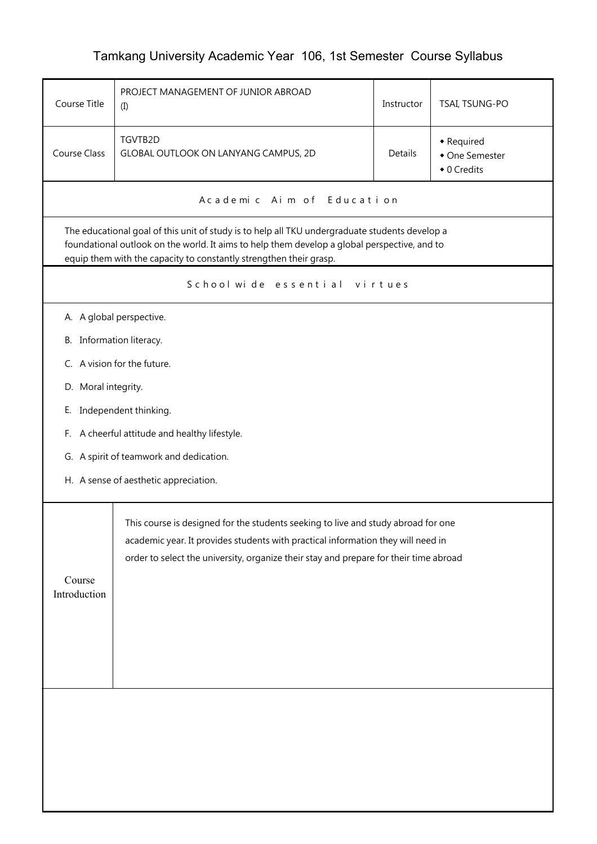## Tamkang University Academic Year 106, 1st Semester Course Syllabus

| Course Title                                                                                                                                                                                                                                                         | PROJECT MANAGEMENT OF JUNIOR ABROAD<br>(I)                                                                                                                                                                                                                     | Instructor | TSAI, TSUNG-PO                              |  |  |  |
|----------------------------------------------------------------------------------------------------------------------------------------------------------------------------------------------------------------------------------------------------------------------|----------------------------------------------------------------------------------------------------------------------------------------------------------------------------------------------------------------------------------------------------------------|------------|---------------------------------------------|--|--|--|
| Course Class                                                                                                                                                                                                                                                         | TGVTB2D<br>GLOBAL OUTLOOK ON LANYANG CAMPUS, 2D                                                                                                                                                                                                                | Details    | • Required<br>• One Semester<br>• 0 Credits |  |  |  |
|                                                                                                                                                                                                                                                                      | A cademic Aim of Education                                                                                                                                                                                                                                     |            |                                             |  |  |  |
| The educational goal of this unit of study is to help all TKU undergraduate students develop a<br>foundational outlook on the world. It aims to help them develop a global perspective, and to<br>equip them with the capacity to constantly strengthen their grasp. |                                                                                                                                                                                                                                                                |            |                                             |  |  |  |
|                                                                                                                                                                                                                                                                      | School wide essential<br>virtues                                                                                                                                                                                                                               |            |                                             |  |  |  |
|                                                                                                                                                                                                                                                                      | A. A global perspective.                                                                                                                                                                                                                                       |            |                                             |  |  |  |
| B. Information literacy.                                                                                                                                                                                                                                             |                                                                                                                                                                                                                                                                |            |                                             |  |  |  |
|                                                                                                                                                                                                                                                                      | C. A vision for the future.                                                                                                                                                                                                                                    |            |                                             |  |  |  |
| D. Moral integrity.                                                                                                                                                                                                                                                  |                                                                                                                                                                                                                                                                |            |                                             |  |  |  |
|                                                                                                                                                                                                                                                                      | E. Independent thinking.                                                                                                                                                                                                                                       |            |                                             |  |  |  |
|                                                                                                                                                                                                                                                                      | F. A cheerful attitude and healthy lifestyle.                                                                                                                                                                                                                  |            |                                             |  |  |  |
|                                                                                                                                                                                                                                                                      | G. A spirit of teamwork and dedication.                                                                                                                                                                                                                        |            |                                             |  |  |  |
| H. A sense of aesthetic appreciation.                                                                                                                                                                                                                                |                                                                                                                                                                                                                                                                |            |                                             |  |  |  |
| Course<br>Introduction                                                                                                                                                                                                                                               | This course is designed for the students seeking to live and study abroad for one<br>academic year. It provides students with practical information they will need in<br>order to select the university, organize their stay and prepare for their time abroad |            |                                             |  |  |  |
|                                                                                                                                                                                                                                                                      |                                                                                                                                                                                                                                                                |            |                                             |  |  |  |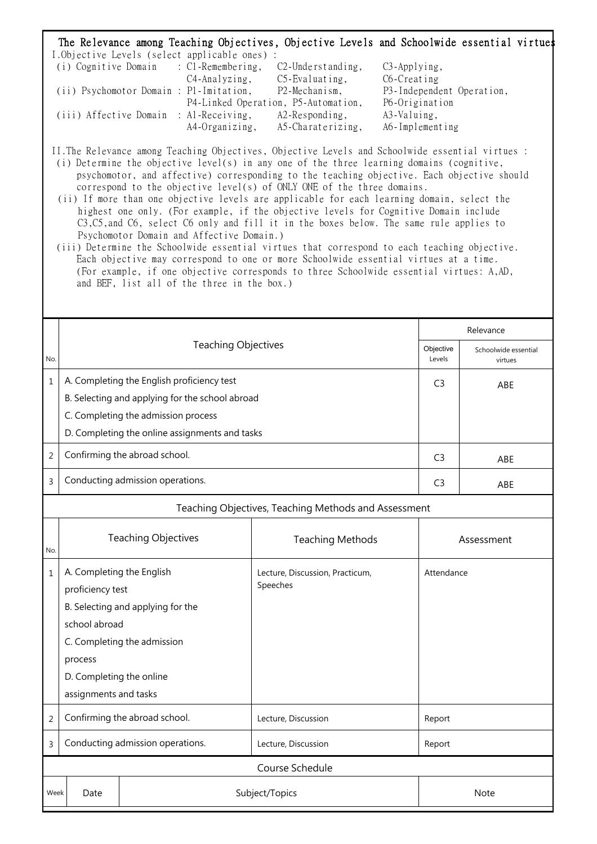| The Relevance among Teaching Objectives, Objective Levels and Schoolwide essential virtue.<br>I.Objective Levels (select applicable ones) :<br>(i) Cognitive Domain : C1-Remembering,<br>$C2$ -Understanding,<br>C3-Applying,<br>C4-Analyzing,<br>$C5$ -Evaluating,<br>C6-Creating<br>(ii) Psychomotor Domain : P1 - Imitation,<br>P2-Mechanism,<br>P3-Independent Operation,<br>P4-Linked Operation, P5-Automation,<br>P6-Origination<br>(iii) Affective Domain : Al-Receiving, A2-Responding,<br>A3-Valuing,<br>A4-Organizing, A5-Charaterizing,<br>A6-Implementing<br>II. The Relevance among Teaching Objectives, Objective Levels and Schoolwide essential virtues :<br>(i) Determine the objective level(s) in any one of the three learning domains (cognitive,<br>psychomotor, and affective) corresponding to the teaching objective. Each objective should<br>correspond to the objective level(s) of ONLY ONE of the three domains.<br>(ii) If more than one objective levels are applicable for each learning domain, select the<br>highest one only. (For example, if the objective levels for Cognitive Domain include<br>C3, C5, and C6, select C6 only and fill it in the boxes below. The same rule applies to<br>Psychomotor Domain and Affective Domain.)<br>(iii) Determine the Schoolwide essential virtues that correspond to each teaching objective.<br>Each objective may correspond to one or more Schoolwide essential virtues at a time.<br>(For example, if one objective corresponds to three Schoolwide essential virtues: A,AD,<br>and BEF, list all of the three in the box.) |                                                                                                                                                                                                    |                                                      |  |                     |                                 |  |
|----------------------------------------------------------------------------------------------------------------------------------------------------------------------------------------------------------------------------------------------------------------------------------------------------------------------------------------------------------------------------------------------------------------------------------------------------------------------------------------------------------------------------------------------------------------------------------------------------------------------------------------------------------------------------------------------------------------------------------------------------------------------------------------------------------------------------------------------------------------------------------------------------------------------------------------------------------------------------------------------------------------------------------------------------------------------------------------------------------------------------------------------------------------------------------------------------------------------------------------------------------------------------------------------------------------------------------------------------------------------------------------------------------------------------------------------------------------------------------------------------------------------------------------------------------------------------------------------------------------|----------------------------------------------------------------------------------------------------------------------------------------------------------------------------------------------------|------------------------------------------------------|--|---------------------|---------------------------------|--|
|                                                                                                                                                                                                                                                                                                                                                                                                                                                                                                                                                                                                                                                                                                                                                                                                                                                                                                                                                                                                                                                                                                                                                                                                                                                                                                                                                                                                                                                                                                                                                                                                                | <b>Teaching Objectives</b>                                                                                                                                                                         |                                                      |  | Relevance           |                                 |  |
| No.                                                                                                                                                                                                                                                                                                                                                                                                                                                                                                                                                                                                                                                                                                                                                                                                                                                                                                                                                                                                                                                                                                                                                                                                                                                                                                                                                                                                                                                                                                                                                                                                            |                                                                                                                                                                                                    |                                                      |  | Objective<br>Levels | Schoolwide essential<br>virtues |  |
| 1                                                                                                                                                                                                                                                                                                                                                                                                                                                                                                                                                                                                                                                                                                                                                                                                                                                                                                                                                                                                                                                                                                                                                                                                                                                                                                                                                                                                                                                                                                                                                                                                              | A. Completing the English proficiency test<br>B. Selecting and applying for the school abroad<br>C. Completing the admission process<br>D. Completing the online assignments and tasks             |                                                      |  | C <sub>3</sub>      | ABE                             |  |
| $\overline{2}$                                                                                                                                                                                                                                                                                                                                                                                                                                                                                                                                                                                                                                                                                                                                                                                                                                                                                                                                                                                                                                                                                                                                                                                                                                                                                                                                                                                                                                                                                                                                                                                                 | Confirming the abroad school.                                                                                                                                                                      | C <sub>3</sub><br>ABE                                |  |                     |                                 |  |
| 3                                                                                                                                                                                                                                                                                                                                                                                                                                                                                                                                                                                                                                                                                                                                                                                                                                                                                                                                                                                                                                                                                                                                                                                                                                                                                                                                                                                                                                                                                                                                                                                                              | Conducting admission operations.                                                                                                                                                                   |                                                      |  | C <sub>3</sub>      | ABE                             |  |
|                                                                                                                                                                                                                                                                                                                                                                                                                                                                                                                                                                                                                                                                                                                                                                                                                                                                                                                                                                                                                                                                                                                                                                                                                                                                                                                                                                                                                                                                                                                                                                                                                |                                                                                                                                                                                                    | Teaching Objectives, Teaching Methods and Assessment |  |                     |                                 |  |
| No.                                                                                                                                                                                                                                                                                                                                                                                                                                                                                                                                                                                                                                                                                                                                                                                                                                                                                                                                                                                                                                                                                                                                                                                                                                                                                                                                                                                                                                                                                                                                                                                                            | <b>Teaching Objectives</b>                                                                                                                                                                         | <b>Teaching Methods</b>                              |  | Assessment          |                                 |  |
| 1                                                                                                                                                                                                                                                                                                                                                                                                                                                                                                                                                                                                                                                                                                                                                                                                                                                                                                                                                                                                                                                                                                                                                                                                                                                                                                                                                                                                                                                                                                                                                                                                              | A. Completing the English<br>proficiency test<br>B. Selecting and applying for the<br>school abroad<br>C. Completing the admission<br>process<br>D. Completing the online<br>assignments and tasks | Lecture, Discussion, Practicum,<br>Speeches          |  | Attendance          |                                 |  |

2 Confirming the abroad school. Lecture, Discussion Report

3 Conducting admission operations. Lecture, Discussion Report

Course Schedule

Week Date Note Subject/Topics Note Note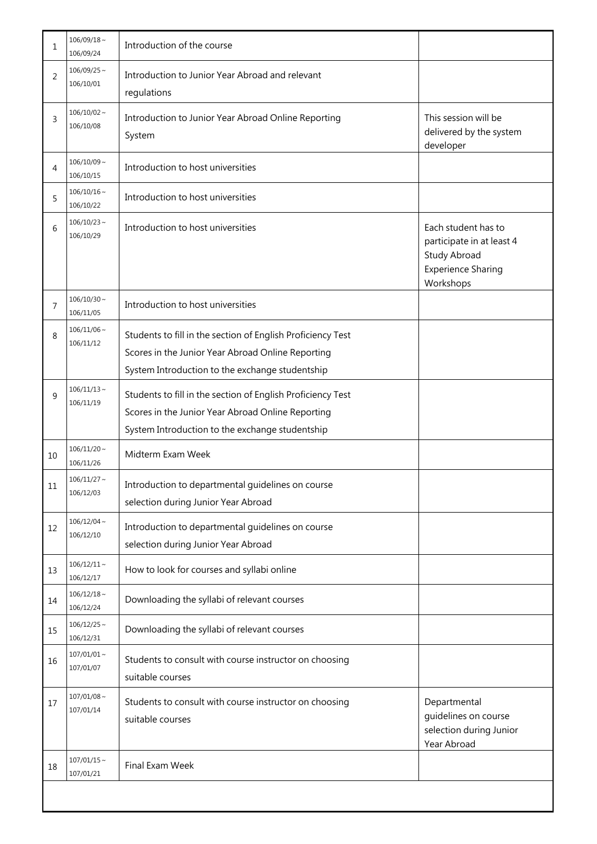| 1              | $106/09/18 \sim$<br>106/09/24 | Introduction of the course                                                                                                                                          |                                                                                                                   |
|----------------|-------------------------------|---------------------------------------------------------------------------------------------------------------------------------------------------------------------|-------------------------------------------------------------------------------------------------------------------|
| 2              | $106/09/25$ ~<br>106/10/01    | Introduction to Junior Year Abroad and relevant<br>regulations                                                                                                      |                                                                                                                   |
| 3              | $106/10/02 \sim$<br>106/10/08 | Introduction to Junior Year Abroad Online Reporting<br>System                                                                                                       | This session will be<br>delivered by the system<br>developer                                                      |
| 4              | $106/10/09$ ~<br>106/10/15    | Introduction to host universities                                                                                                                                   |                                                                                                                   |
| 5              | $106/10/16 \sim$<br>106/10/22 | Introduction to host universities                                                                                                                                   |                                                                                                                   |
| 6              | $106/10/23$ ~<br>106/10/29    | Introduction to host universities                                                                                                                                   | Each student has to<br>participate in at least 4<br><b>Study Abroad</b><br><b>Experience Sharing</b><br>Workshops |
| $\overline{7}$ | $106/10/30 \sim$<br>106/11/05 | Introduction to host universities                                                                                                                                   |                                                                                                                   |
| 8              | $106/11/06 \sim$<br>106/11/12 | Students to fill in the section of English Proficiency Test<br>Scores in the Junior Year Abroad Online Reporting<br>System Introduction to the exchange studentship |                                                                                                                   |
| 9              | $106/11/13$ ~<br>106/11/19    | Students to fill in the section of English Proficiency Test<br>Scores in the Junior Year Abroad Online Reporting<br>System Introduction to the exchange studentship |                                                                                                                   |
| 10             | $106/11/20 \sim$<br>106/11/26 | Midterm Exam Week                                                                                                                                                   |                                                                                                                   |
| 11             | $106/11/27$ ~<br>106/12/03    | Introduction to departmental guidelines on course<br>selection during Junior Year Abroad                                                                            |                                                                                                                   |
| 12             | $106/12/04 \sim$<br>106/12/10 | Introduction to departmental guidelines on course<br>selection during Junior Year Abroad                                                                            |                                                                                                                   |
| 13             | $106/12/11 \sim$<br>106/12/17 | How to look for courses and syllabi online                                                                                                                          |                                                                                                                   |
| 14             | $106/12/18 \sim$<br>106/12/24 | Downloading the syllabi of relevant courses                                                                                                                         |                                                                                                                   |
| 15             | $106/12/25$ ~<br>106/12/31    | Downloading the syllabi of relevant courses                                                                                                                         |                                                                                                                   |
| 16             | $107/01/01$ ~<br>107/01/07    | Students to consult with course instructor on choosing<br>suitable courses                                                                                          |                                                                                                                   |
| $17\,$         | $107/01/08$ ~<br>107/01/14    | Students to consult with course instructor on choosing<br>suitable courses                                                                                          | Departmental<br>guidelines on course<br>selection during Junior<br>Year Abroad                                    |
| 18             | $107/01/15 \sim$<br>107/01/21 | Final Exam Week                                                                                                                                                     |                                                                                                                   |
|                |                               |                                                                                                                                                                     |                                                                                                                   |